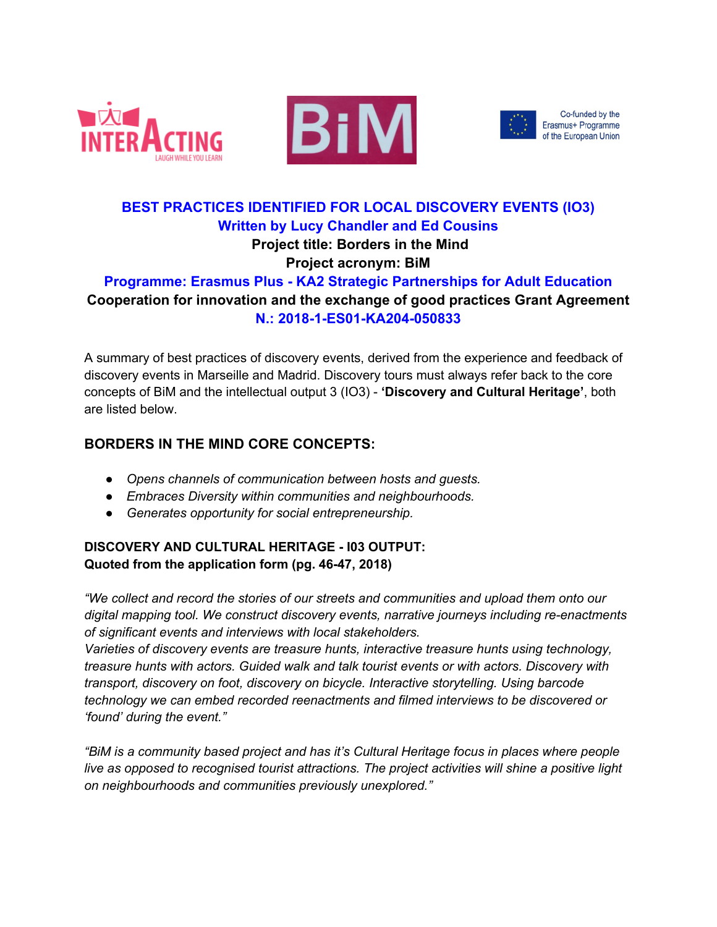





Co-funded by the Erasmus+ Programme of the European Union

# **BEST PRACTICES IDENTIFIED FOR LOCAL DISCOVERY EVENTS (IO3) Written by Lucy Chandler and Ed Cousins Project title: Borders in the Mind**

## **Project acronym: BiM**

## **Programme: Erasmus Plus - KA2 Strategic Partnerships for Adult Education Cooperation for innovation and the exchange of good practices Grant Agreement N.: 2018-1-ES01-KA204-050833**

A summary of best practices of discovery events, derived from the experience and feedback of discovery events in Marseille and Madrid. Discovery tours must always refer back to the core concepts of BiM and the intellectual output 3 (IO3) - **'Discovery and Cultural Heritage'**, both are listed below.

## **BORDERS IN THE MIND CORE CONCEPTS:**

- *Opens channels of communication between hosts and guests.*
- *Embraces Diversity within communities and neighbourhoods.*
- *Generates opportunity for social entrepreneurship.*

## **DISCOVERY AND CULTURAL HERITAGE - I03 OUTPUT: Quoted from the application form (pg. 46-47, 2018)**

*"We collect and record the stories of our streets and communities and upload them onto our digital mapping tool. We construct discovery events, narrative journeys including re-enactments of significant events and interviews with local stakeholders.* 

*Varieties of discovery events are treasure hunts, interactive treasure hunts using technology, treasure hunts with actors. Guided walk and talk tourist events or with actors. Discovery with transport, discovery on foot, discovery on bicycle. Interactive storytelling. Using barcode technology we can embed recorded reenactments and filmed interviews to be discovered or 'found' during the event."*

*"BiM is a community based project and has it's Cultural Heritage focus in places where people live as opposed to recognised tourist attractions. The project activities will shine a positive light on neighbourhoods and communities previously unexplored."*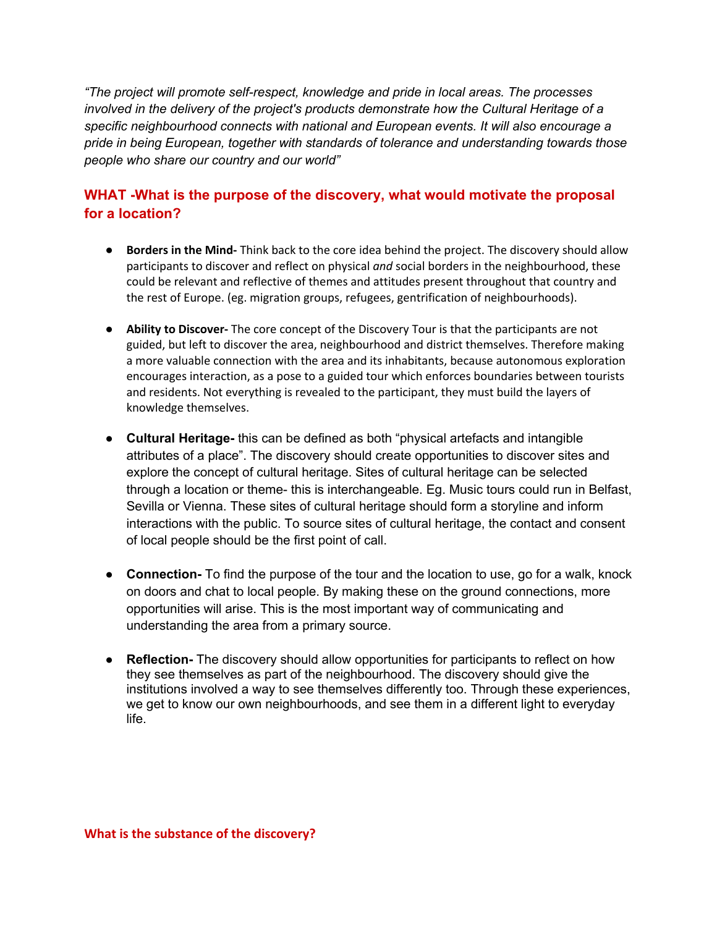*"The project will promote self-respect, knowledge and pride in local areas. The processes involved in the delivery of the project's products demonstrate how the Cultural Heritage of a specific neighbourhood connects with national and European events. It will also encourage a pride in being European, together with standards of tolerance and understanding towards those people who share our country and our world"* 

## **WHAT -What is the purpose of the discovery, what would motivate the proposal for a location?**

- **Borders in the Mind-** Think back to the core idea behind the project. The discovery should allow participants to discover and reflect on physical *and* social borders in the neighbourhood, these could be relevant and reflective of themes and attitudes present throughout that country and the rest of Europe. (eg. migration groups, refugees, gentrification of neighbourhoods).
- **Ability to Discover-** The core concept of the Discovery Tour is that the participants are not guided, but left to discover the area, neighbourhood and district themselves. Therefore making a more valuable connection with the area and its inhabitants, because autonomous exploration encourages interaction, as a pose to a guided tour which enforces boundaries between tourists and residents. Not everything is revealed to the participant, they must build the layers of knowledge themselves.
- **Cultural Heritage-** this can be defined as both "physical artefacts and intangible attributes of a place". The discovery should create opportunities to discover sites and explore the concept of cultural heritage. Sites of cultural heritage can be selected through a location or theme- this is interchangeable. Eg. Music tours could run in Belfast, Sevilla or Vienna. These sites of cultural heritage should form a storyline and inform interactions with the public. To source sites of cultural heritage, the contact and consent of local people should be the first point of call.
- **Connection-** To find the purpose of the tour and the location to use, go for a walk, knock on doors and chat to local people. By making these on the ground connections, more opportunities will arise. This is the most important way of communicating and understanding the area from a primary source.
- **Reflection-** The discovery should allow opportunities for participants to reflect on how they see themselves as part of the neighbourhood. The discovery should give the institutions involved a way to see themselves differently too. Through these experiences, we get to know our own neighbourhoods, and see them in a different light to everyday life.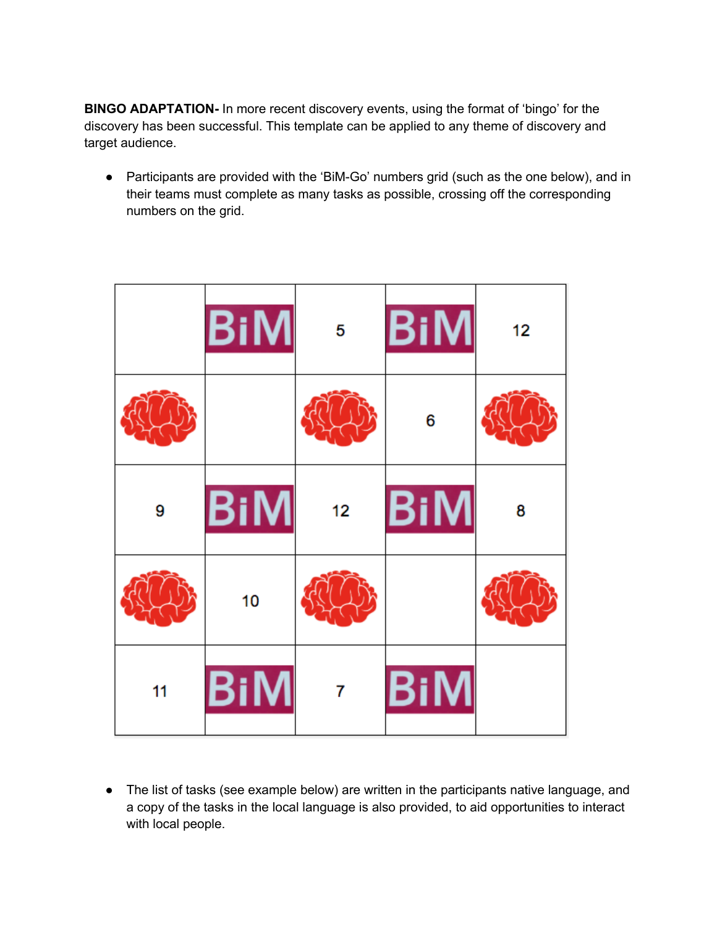**BINGO ADAPTATION-** In more recent discovery events, using the format of 'bingo' for the discovery has been successful. This template can be applied to any theme of discovery and target audience.

● Participants are provided with the 'BiM-Go' numbers grid (such as the one below), and in their teams must complete as many tasks as possible, crossing off the corresponding numbers on the grid.

|    | <b>BiM</b>     | 5  | BiM        | 12 |
|----|----------------|----|------------|----|
|    |                |    | 6          |    |
| 9  | <b>BiM</b>     | 12 | <b>BiM</b> | 8  |
|    | 10             |    |            |    |
| 11 | $\mathsf{BiM}$ | 7  | BiM        |    |

● The list of tasks (see example below) are written in the participants native language, and a copy of the tasks in the local language is also provided, to aid opportunities to interact with local people.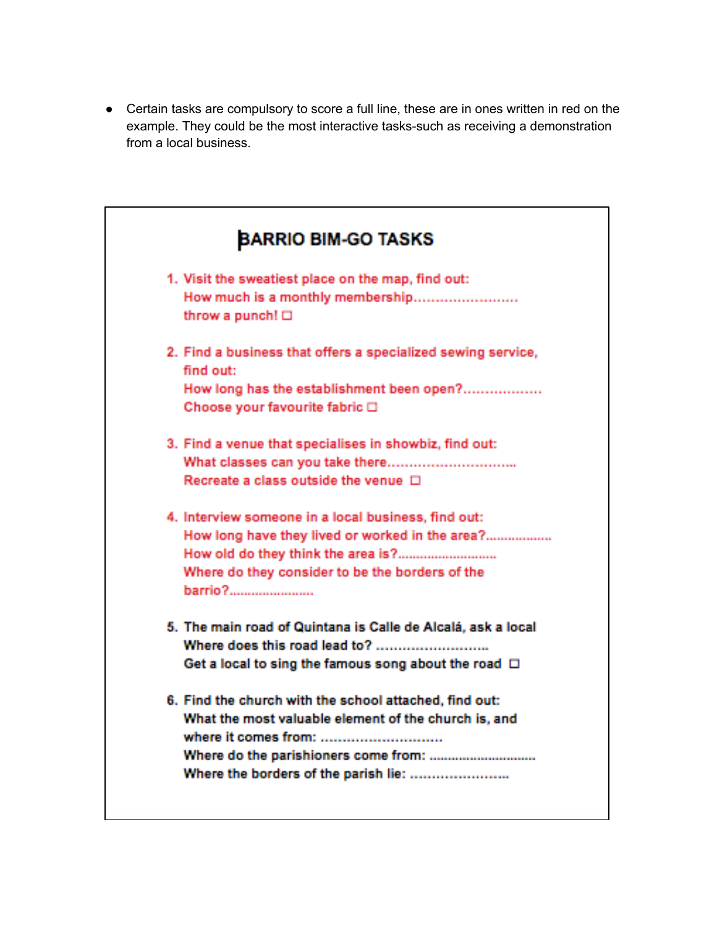● Certain tasks are compulsory to score a full line, these are in ones written in red on the example. They could be the most interactive tasks-such as receiving a demonstration from a local business.

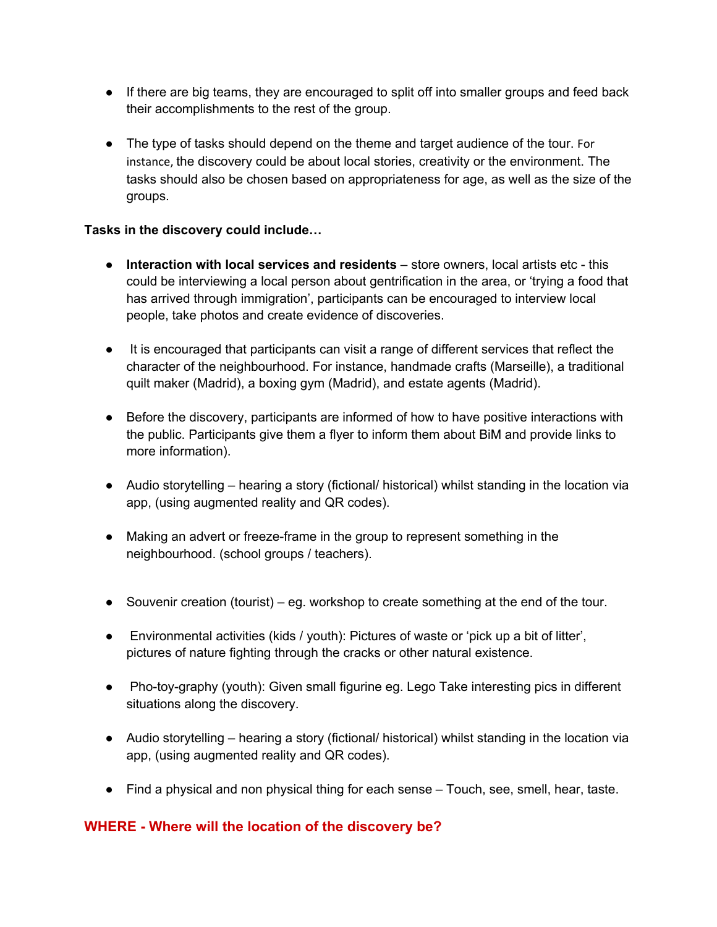- If there are big teams, they are encouraged to split off into smaller groups and feed back their accomplishments to the rest of the group.
- The type of tasks should depend on the theme and target audience of the tour. For instance, the discovery could be about local stories, creativity or the environment. The tasks should also be chosen based on appropriateness for age, as well as the size of the groups.

#### **Tasks in the discovery could include…**

- **Interaction with local services and residents** store owners, local artists etc this could be interviewing a local person about gentrification in the area, or 'trying a food that has arrived through immigration', participants can be encouraged to interview local people, take photos and create evidence of discoveries.
- It is encouraged that participants can visit a range of different services that reflect the character of the neighbourhood. For instance, handmade crafts (Marseille), a traditional quilt maker (Madrid), a boxing gym (Madrid), and estate agents (Madrid).
- Before the discovery, participants are informed of how to have positive interactions with the public. Participants give them a flyer to inform them about BiM and provide links to more information).
- Audio storytelling hearing a story (fictional/ historical) whilst standing in the location via app, (using augmented reality and QR codes).
- Making an advert or freeze-frame in the group to represent something in the neighbourhood. (school groups / teachers).
- Souvenir creation (tourist) eg. workshop to create something at the end of the tour.
- Environmental activities (kids / youth): Pictures of waste or 'pick up a bit of litter', pictures of nature fighting through the cracks or other natural existence.
- Pho-toy-graphy (youth): Given small figurine eg. Lego Take interesting pics in different situations along the discovery.
- Audio storytelling hearing a story (fictional/ historical) whilst standing in the location via app, (using augmented reality and QR codes).
- Find a physical and non physical thing for each sense Touch, see, smell, hear, taste.

#### **WHERE - Where will the location of the discovery be?**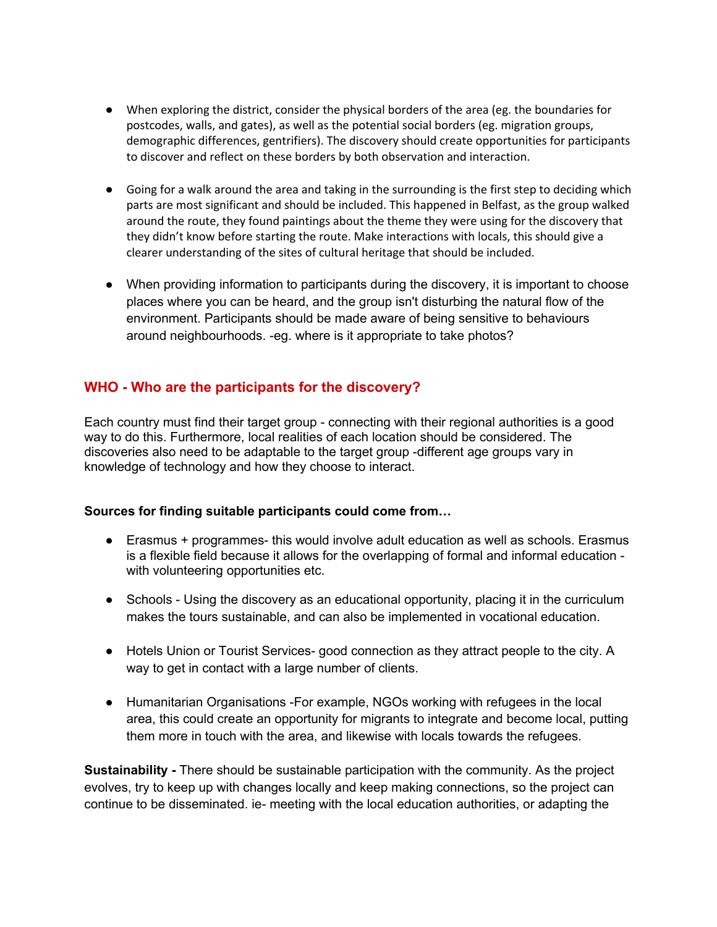- When exploring the district, consider the physical borders of the area (eg. the boundaries for postcodes, walls, and gates), as well as the potential social borders (eg. migration groups, demographic differences, gentrifiers). The discovery should create opportunities for participants to discover and reflect on these borders by both observation and interaction.
- Going for a walk around the area and taking in the surrounding is the first step to deciding which parts are most significant and should be included. This happened in Belfast, as the group walked around the route, they found paintings about the theme they were using for the discovery that they didn't know before starting the route. Make interactions with locals, this should give a clearer understanding of the sites of cultural heritage that should be included.
- When providing information to participants during the discovery, it is important to choose places where you can be heard, and the group isn't disturbing the natural flow of the environment. Participants should be made aware of being sensitive to behaviours around neighbourhoods. -eg. where is it appropriate to take photos?

#### **WHO - Who are the participants for the discovery?**

Each country must find their target group - connecting with their regional authorities is a good way to do this. Furthermore, local realities of each location should be considered. The discoveries also need to be adaptable to the target group -different age groups vary in knowledge of technology and how they choose to interact.

#### **Sources for finding suitable participants could come from…**

- Erasmus + programmes- this would involve adult education as well as schools. Erasmus is a flexible field because it allows for the overlapping of formal and informal education with volunteering opportunities etc.
- Schools Using the discovery as an educational opportunity, placing it in the curriculum makes the tours sustainable, and can also be implemented in vocational education.
- Hotels Union or Tourist Services- good connection as they attract people to the city. A way to get in contact with a large number of clients.
- Humanitarian Organisations -For example, NGOs working with refugees in the local area, this could create an opportunity for migrants to integrate and become local, putting them more in touch with the area, and likewise with locals towards the refugees.

**Sustainability -** There should be sustainable participation with the community. As the project evolves, try to keep up with changes locally and keep making connections, so the project can continue to be disseminated. ie- meeting with the local education authorities, or adapting the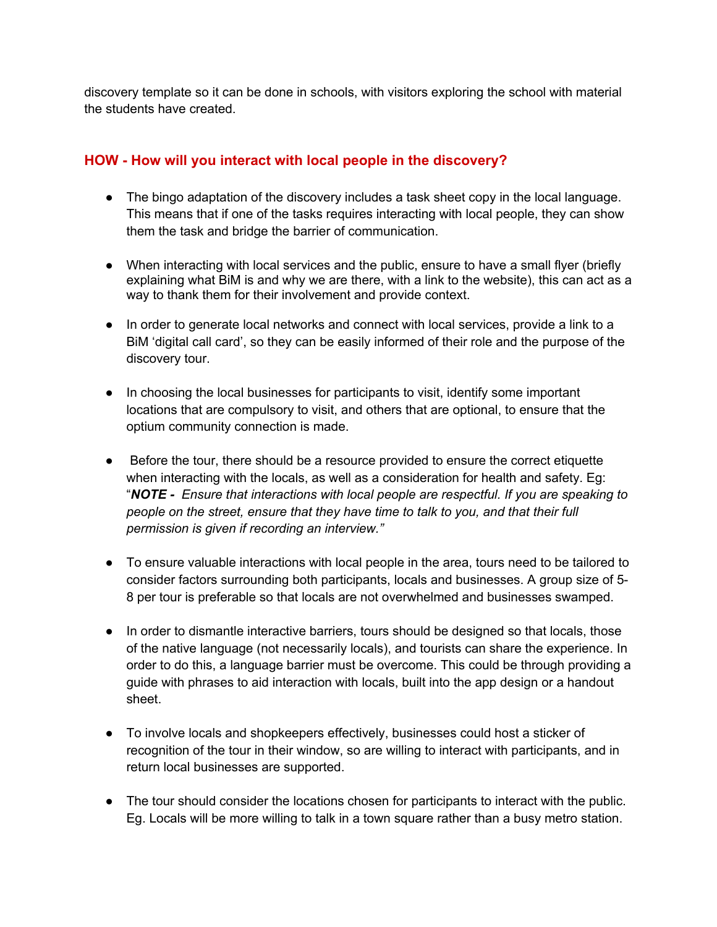discovery template so it can be done in schools, with visitors exploring the school with material the students have created.

### **HOW - How will you interact with local people in the discovery?**

- The bingo adaptation of the discovery includes a task sheet copy in the local language. This means that if one of the tasks requires interacting with local people, they can show them the task and bridge the barrier of communication.
- When interacting with local services and the public, ensure to have a small flyer (briefly explaining what BiM is and why we are there, with a link to the website), this can act as a way to thank them for their involvement and provide context.
- In order to generate local networks and connect with local services, provide a link to a BiM 'digital call card', so they can be easily informed of their role and the purpose of the discovery tour.
- In choosing the local businesses for participants to visit, identify some important locations that are compulsory to visit, and others that are optional, to ensure that the optium community connection is made.
- Before the tour, there should be a resource provided to ensure the correct etiquette when interacting with the locals, as well as a consideration for health and safety. Eg: "*NOTE - Ensure that interactions with local people are respectful. If you are speaking to people on the street, ensure that they have time to talk to you, and that their full permission is given if recording an interview."*
- To ensure valuable interactions with local people in the area, tours need to be tailored to consider factors surrounding both participants, locals and businesses. A group size of 5- 8 per tour is preferable so that locals are not overwhelmed and businesses swamped.
- In order to dismantle interactive barriers, tours should be designed so that locals, those of the native language (not necessarily locals), and tourists can share the experience. In order to do this, a language barrier must be overcome. This could be through providing a guide with phrases to aid interaction with locals, built into the app design or a handout sheet.
- To involve locals and shopkeepers effectively, businesses could host a sticker of recognition of the tour in their window, so are willing to interact with participants, and in return local businesses are supported.
- The tour should consider the locations chosen for participants to interact with the public. Eg. Locals will be more willing to talk in a town square rather than a busy metro station.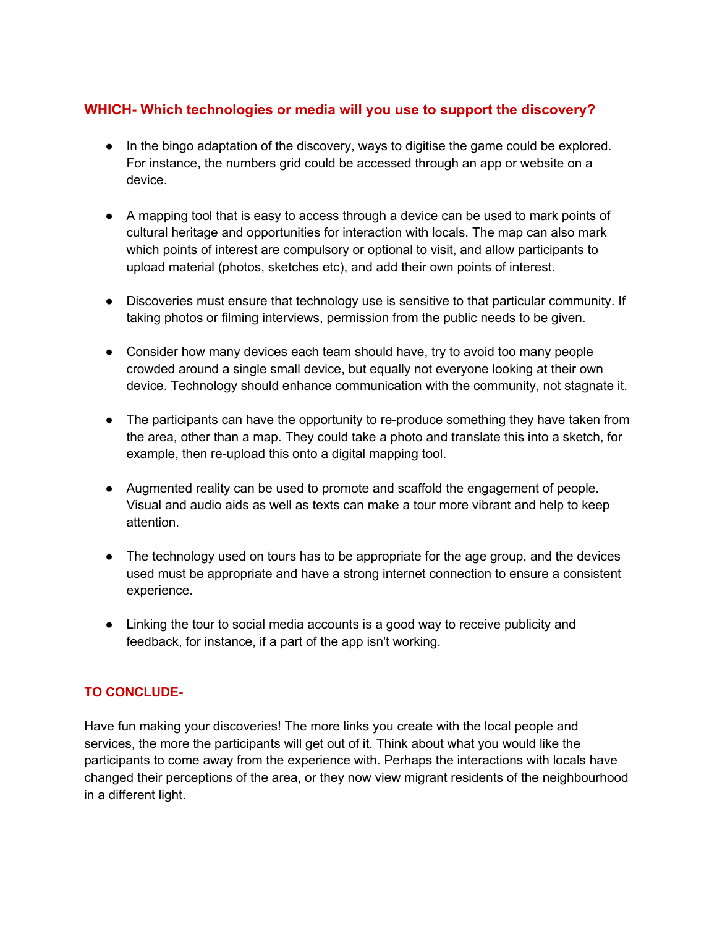## **WHICH- Which technologies or media will you use to support the discovery?**

- In the bingo adaptation of the discovery, ways to digitise the game could be explored. For instance, the numbers grid could be accessed through an app or website on a device.
- A mapping tool that is easy to access through a device can be used to mark points of cultural heritage and opportunities for interaction with locals. The map can also mark which points of interest are compulsory or optional to visit, and allow participants to upload material (photos, sketches etc), and add their own points of interest.
- Discoveries must ensure that technology use is sensitive to that particular community. If taking photos or filming interviews, permission from the public needs to be given.
- Consider how many devices each team should have, try to avoid too many people crowded around a single small device, but equally not everyone looking at their own device. Technology should enhance communication with the community, not stagnate it.
- The participants can have the opportunity to re-produce something they have taken from the area, other than a map. They could take a photo and translate this into a sketch, for example, then re-upload this onto a digital mapping tool.
- Augmented reality can be used to promote and scaffold the engagement of people. Visual and audio aids as well as texts can make a tour more vibrant and help to keep attention.
- The technology used on tours has to be appropriate for the age group, and the devices used must be appropriate and have a strong internet connection to ensure a consistent experience.
- Linking the tour to social media accounts is a good way to receive publicity and feedback, for instance, if a part of the app isn't working.

#### **TO CONCLUDE-**

Have fun making your discoveries! The more links you create with the local people and services, the more the participants will get out of it. Think about what you would like the participants to come away from the experience with. Perhaps the interactions with locals have changed their perceptions of the area, or they now view migrant residents of the neighbourhood in a different light.